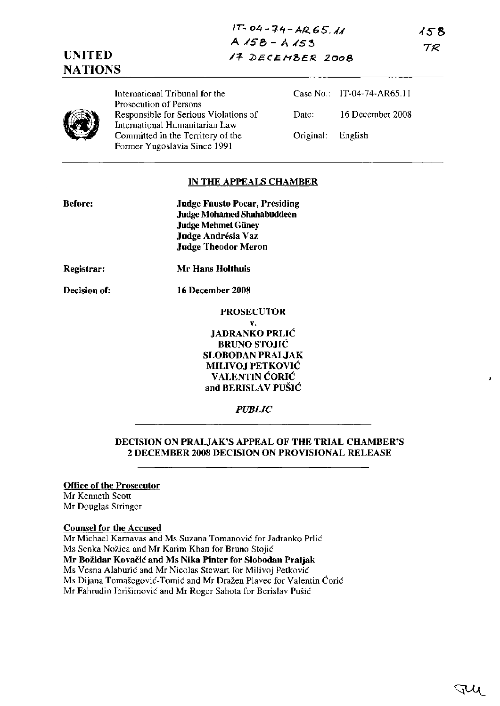# **UNITED NATIONS**

International Tribunal for the Prosecution of Persons Responsible for Serious Violations of International Humanitarian Law Committed in the Territory of the Former Yugoslavia Since 1991

Case No.: IT-04-74-AR65.11 Date: 16 December 2008 Original: English

158 TR.

## **IN THE APPEALS CHAMBER**

| <b>Before:</b> | <b>Judge Fausto Pocar, Presiding</b><br>Judge Mohamed Shahabuddeen<br>Judge Mehmet Güney<br>Judge Andrésia Vaz<br><b>Judge Theodor Meron</b> |
|----------------|----------------------------------------------------------------------------------------------------------------------------------------------|
| Registrar:     | Mr Hans Holthuis                                                                                                                             |
| Decision of:   | 16 December 2008                                                                                                                             |
|                | <b>PROSECUTOR</b>                                                                                                                            |
|                | ٧.                                                                                                                                           |
|                | <b>JADRANKO PRLIĆ</b>                                                                                                                        |
|                | <b>BRUNO STOJIĆ</b>                                                                                                                          |
|                | <b>SLOBODAN PRALJAK</b>                                                                                                                      |

**MILIVOJ PETKOVIC VALENTIN CORIC and BERISLAV PUSIC**

*PUBLIC*

## **DECISION ON PRALJAK'S APPEAL OF THE TRIAL CHAMBER'S 2 DECEMBER 2008 DECISION ON PROVISIONAL RELEASE**

**Office of the Prosecutor** Mr Kenneth Scott Mr Douglas Stringer

**Counsel for the Accused**

Mr Michael Karnavas and Ms Suzana Tomanovic for Jadranko Prlic Ms Senka Nozica and Mr Karim Khan for Bruno Stojic **Mr** Bozidar **Kovacic and Ms Nika Pinter for Slobodan Praljak** Ms Vesna Alaburic and Mr Nicolas Stewart for Milivoj Petkovic Ms Dijana Tomasegovic-Tomic and Mr Drazen Plavec for Valentin Coric Mr Fahrudin Ibrisimovic and Mr Roger Sahota for Berislav Pusic

J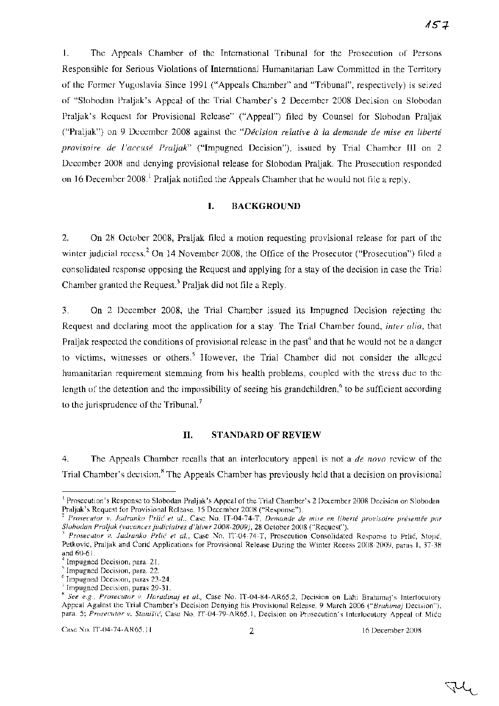1. The Appeals Chamber of the International Tribunal for the Prosecution of Persons Responsible for Serious Violations of International Humanitarian Law Committed in the Territory of the Former Yugoslavia Since 1991 ("Appeals Chamber" and "Tribunal", respectively) is seized of "Slobodan Praljak's Appeal of the Trial Chamber's 2 December 2008 Decision on Slobodan Praljak's Request for Provisional Release" ("Appeal") filed by Counsel for Slobodan Praljak ("Praljak") on 9 December 2008 against the "Décision relative à la demande de mise en liberté *provisoire de l'accuse Praljak"* ("Impugned Decision"), issued by Trial Chamber III on 2 December 2008 and denying provisional release for Slobodan Praljak. The Prosecution responded on 16 December 2008.<sup>1</sup> Praljak notified the Appeals Chamber that he would not file a reply.

## **I. BACKGROUND**

2. On 28 October 2008, Praljak filed a motion requesting provisional release for part of the winter judicial recess.<sup>2</sup> On 14 November 2008, the Office of the Prosecutor ("Prosecution") filed a consolidated response opposing the Request and applying for a stay of the decision in case the Trial Chamber granted the Request.<sup>3</sup> Praljak did not file a Reply.

3. On 2 December 2008, the Trial Chamber issued its Impugned Decision rejecting the Request and declaring moot the application for a stay. The Trial Chamber found, *inter alia,* that Praljak respected the conditions of provisional release in the past<sup>4</sup> and that he would not be a danger to victims, witnesses or others.<sup>5</sup> However, the Trial Chamber did not consider the alleged humanitarian requirement stemming from his health problems, coupled with the stress due to the length of the detention and the impossibility of seeing his grandchildren, $6$  to be sufficient according to the jurisprudence of the Tribunal.<sup>7</sup>

### **11. STANDARD OF REVIEW**

4. The Appeals Chamber recalls that an interlocutory appeal is not a *de novo* review of the Trial Chamber's decision.<sup>8</sup> The Appeals Chamber has previously held that a decision on provisional

<sup>&</sup>lt;sup>1</sup> Prosecution's Response to Slobodan Praljak's Appeal of the Trial Chamber's 2 December 2008 Decision on Slobodan Praljak's Request for Provisional Release, IS December 2008 ("Response").

<sup>2</sup> *Prosecutor* v. *ladranko* Prlic *et al.,* Case No. IT-04-74-T, *Demande de mise en liberte provisoire presentee par Slobodan Praljak (vacances judiciaires d'hiver 2008-2009),28* October 2008 ("Request").

*<sup>3</sup> Prosecutor* v. *ladranko* Prlic *et al.,* Case No. IT-04-74-T, Prosecution Consolidated Response to Prlic, Stojic, Petković, Praljak and Ćorić Applications for Provisional Release During the Winter Recess 2008-2009, paras 1, 37-38 and 60-61.

<sup>4</sup> Impugned Decision, para. 21.

Impugned Decision, para. 22.

<sup>&</sup>lt;sup>6</sup> Impugned Decision, paras 23-24.

Impugned Decision, paras  $29-31$ .

<sup>8</sup> *See e.g., Prosecutor v. Haradinaj et al.,* Case No. IT-04-84-AR65.2, Decision on Lahi Brahimaj's Interlocutory Appeal Against the Trial Chamber's Decision Denying his Provisional Release, 9 March 2006 *("Brahimaj* Decision"), para. 5; *Prosecutor v. Stanisic,* Case No. IT-04-79-AR65.1, Decision on Prosecution's Interlocutory Appeal of Mico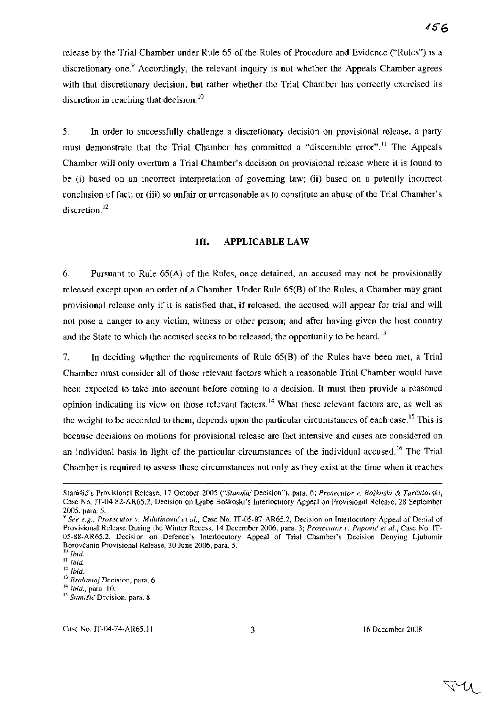release by the Trial Chamber under Rule 65 of the Rules of Procedure and Evidence ("Rules") is a discretionary one.<sup>9</sup> Accordingly, the relevant inquiry is not whether the Appeals Chamber agrees with that discretionary decision, but rather whether the Trial Chamber has correctly exercised its discretion in reaching that decision.<sup>10</sup>

5. **In** order to successfully challenge a discretionary decision on provisional release, a party must demonstrate that the Trial Chamber has committed a "discernible error".<sup>11</sup> The Appeals Chamber will only overturn a Trial Chamber's decision on provisional release where it is found to be (i) based on an incorrect interpretation of governing law; (ii) based on a patently incorrect conclusion of fact; or (iii) so unfair or unreasonable as to constitute an abuse of the Trial Chamber's discretion.<sup>12</sup>

## **Ill. APPLICABLE LAW**

6. Pursuant to Rule 65(A) of the Rules, once detained, an accused may not be provisionally released except upon an order of a Chamber. Under Rule 65(B) of the Rules, a Chamber may grant provisional release only if it is satisfied that, if released, the accused will appear for trial and will not pose a danger to any victim, witness or other person; and after having given the host country and the State to which the accused seeks to be released, the opportunity to be heard.<sup>13</sup>

7. **In** deciding whether the requirements of Rule 65(B) of the Rules have been met, a Trial Chamber must consider all of those relevant factors which a reasonable Trial Chamber would have been expected to take into account before coming to a decision. It must then provide a reasoned opinion indicating its view on those relevant factors.<sup>14</sup> What these relevant factors are, as well as the weight to be accorded to them, depends upon the particular circumstances of each case.<sup>15</sup> This is because decisions on motions for provisional release are fact intensive and cases are considered on an individual basis in light of the particular circumstances of the individual accused.<sup>16</sup> The Trial Chamber is required to assess these circumstances not only as they exist at the time when it reaches

বৈ≁৸

Stanisic's Provisional Release, 17 October 2005 *C'Staniiu:* Decision"), para. 6; *Prosecutor* v, *Boskoski* & *Tarculovski,* Case No. IT-04-82-AR65.2, Decision on Ljube Boskoski's Interlocutory Appeal on Provisional Release, 28 September 2005, para. 5.

<sup>9</sup> *See e.g., Prosecutor v. Milutinovic et al.,* Case No. IT-05-87-AR65.2, Decision on Interlocutory Appeal of Denial of Provisional Release During the Winter Recess, 14 December 2006, para. 3; *Prosecutor v. Popovic et al.,* Case No. IT-05-88-AR65.2, Decision on Defence's Interlocutory Appeal of Trial Chamber's Decision Denying Ljubomir Borovčanin Provisional Release, 30 June 2006, para. 5.

<sup>10</sup> *Ibid.*

<sup>11</sup> *Ibid.*

<sup>12</sup> *Ibid.*

<sup>13</sup> *Brahimaj* Decision, para. 6.

<sup>14</sup> *Ibid.,* para. 10.

<sup>15</sup> *Stanisic* Decision, para. 8.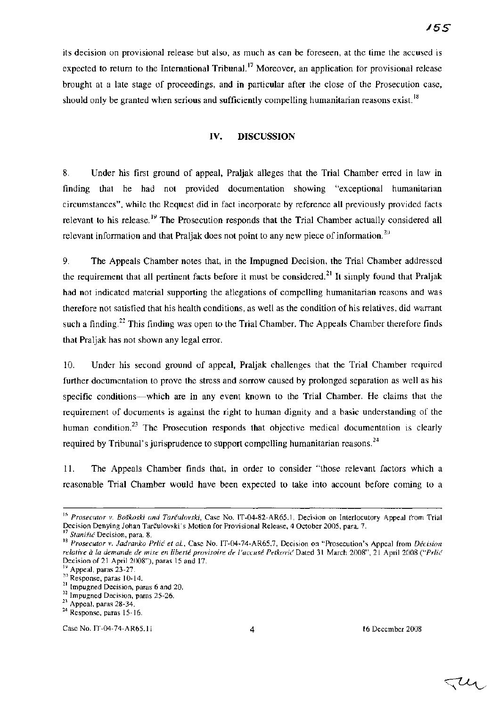its decision on provisional release but also, as much as can be foreseen, at the time the accused is expected to return to the International Tribunal.<sup>17</sup> Moreover, an application for provisional release brought at a late stage of proceedings, and in particular after the close of the Prosecution case, should only be granted when serious and sufficiently compelling humanitarian reasons exist.<sup>18</sup>

## **IV. DISCUSSION**

8. Under his first ground of appeal, Praljak alleges that the Trial Chamber erred in law in finding that he had not provided documentation showing "exceptional humanitarian circumstances", while the Request did in fact incorporate by reference all previously provided facts relevant to his release.<sup>19</sup> The Prosecution responds that the Trial Chamber actually considered all relevant information and that Praljak does not point to any new piece of information.<sup>20</sup>

9. The Appeals Chamber notes that, in the Impugned Decision, the Trial Chamber addressed the requirement that all pertinent facts before it must be considered.<sup>21</sup> It simply found that Praljak had not indicated material supporting the allegations of compelling humanitarian reasons and was therefore not satisfied that his health conditions, as well as the condition of his relatives, did warrant such a finding.<sup>22</sup> This finding was open to the Trial Chamber. The Appeals Chamber therefore finds that Praljak has not shown any legal error.

10. Under his second ground of appeal, Praljak challenges that the Trial Chamber required further documentation to prove the stress and sorrow caused by prolonged separation as well as his specific conditions-which are in any event known to the Trial Chamber. He claims that the requirement of documents is against the right to human dignity and a basic understanding of the human condition.<sup>23</sup> The Prosecution responds that objective medical documentation is clearly required by Tribunal's jurisprudence to support compelling humanitarian reasons.<sup>24</sup>

11. The Appeals Chamber finds that, in order to consider "those relevant factors which a reasonable Trial Chamber would have been expected to take into account before coming to a

 $\triangleleft \mathcal{U}_1$ 

<sup>16</sup> *Prosecutor v. Boskoski and Tarculovski,* Case No. IT-04-82-AR65.1, Decision on Interlocutory Appeal from Trial Decision Denying Johan Tarculovski's Motion for Provisional Release, 4 October 2005, para. 7.

Stanišić Decision, para. 8.

<sup>18</sup> *Prosecutor v. Jadranko Prlic et al.,* Case No. IT-04-74-AR65.7, Decision on "Prosecution's Appeal from *Decision relative ala demande de mise en liberte provisoire de l'accuse PetkovicDated* 31 March 2008", 21 April 2008 *CPrlic* Decision of 21 April 2008"), paras 15 and 17.

<sup>&</sup>lt;sup>19</sup> Appeal, paras 23-27.

<sup>&</sup>lt;sup>20</sup> Response, paras 10-14.

<sup>&</sup>lt;sup>21</sup> Impugned Decision, paras 6 and 20.

<sup>&</sup>lt;sup>22</sup> Impugned Decision, paras 25-26.  $23$  Appeal, paras 28-34.

<sup>&</sup>lt;sup>24</sup> Response, paras 15-16.

Case No. IT-04-74-AR65.11 4 16 December 2008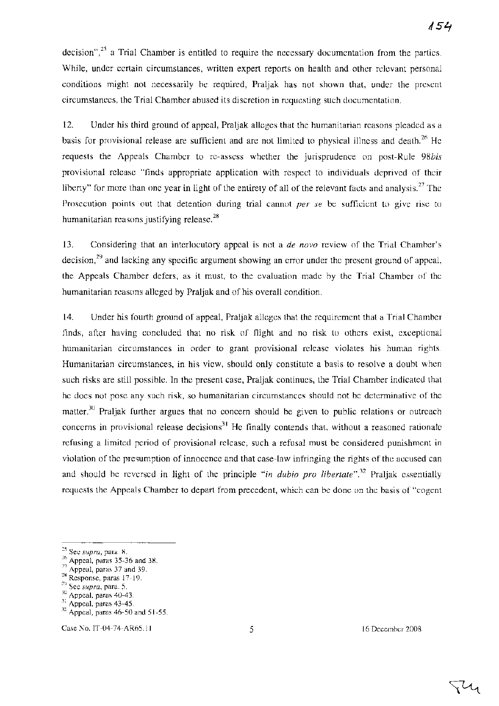decision",<sup>25</sup> a Trial Chamber is entitled to require the necessary documentation from the parties. While, under certain circumstances, written expert reports on health and other relevant personal conditions might not necessarily be required, Praljak has not shown that, under the present circumstances, the Trial Chamber abused its discretion in requesting such documentation.

12. Under his third ground of appeal, Praljak alleges that the humanitarian reasons pleaded as a basis for provisional release are sufficient and are not limited to physical illness and death.<sup>26</sup> He requests the Appeals Chamber to re-assess whether the jurisprudence on post-Rule *98bis* provisional release "finds appropriate application with respect to individuals deprived of their liberty" for more than one year in light of the entirety of all of the relevant facts and analysis.<sup>27</sup> The Prosecution points out that detention during trial cannot *per se* be sufficient to give rise to humanitarian reasons justifying release. $28$ 

13. Considering that an interlocutory appeal is not a *de novo* review of the Trial Chamber's decision,<sup>29</sup> and lacking any specific argument showing an error under the present ground of appeal, the Appeals Chamber defers, as it must, to the evaluation made by the Trial Chamber of the humanitarian reasons alleged by Praljak and of his overall condition.

14. Under his fourth ground of appeal, Praljak alleges that the requirement that a Trial Chamber finds, after having concluded that no risk of flight and no risk to others exist, exceptional humanitarian circumstances in order to grant provisional release violates his human rights. Humanitarian circumstances, in his view, should only constitute a basis to resolve a doubt when such risks are still possible. In the present case, Praljak continues, the Trial Chamber indicated that he does not pose any such risk, so humanitarian circumstances should not be determinative of the matter.<sup>30</sup> Praljak further argues that no concern should be given to public relations or outreach concerns in provisional release decisions<sup>31</sup> He finally contends that, without a reasoned rationale refusing a limited period of provisional release, such a refusal must be considered punishment in violation of the presumption of innocence and that case-law infringing the rights of the accused can and should be reversed in light of the principle *"in dubio pro libertate".32* Praljak essentially requests the Appeals Chamber to depart from precedent, which can be done on the basis of "cogent

Case No. IT-04-74-AR65.11 5 16 December 2008

.U

<sup>25</sup> See *supra,* para. 8.

 $^{26}$  Appeal, paras 35-36 and 38.

 $27$  Appeal, paras 37 and 39.

<sup>28</sup> Response, paras 17-19.

<sup>29</sup> See *supra,* para. 5.

 $30$  Appeal, paras 40-43.

 $31$  Appeal, paras  $43-45$ .

<sup>32</sup> Appeal, paras 46-50 and 51-55.